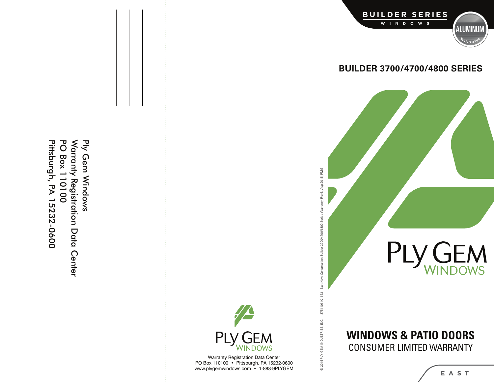Pittsburgh, PA 15232-0600 **PO Box 110100** Warranty Registration Data Center Ply Gem Windows Pittsburgh, PA 15232-0600 PO Box 110100 Ply Gem Windows arranty Registration Data Center



© 2015 PLY GEM INDUSTRIES, INC. 3751101101153 - East New Construction Builder 3700/4700/4800 Series Warranty\_RevB\_Aug 2015\_PMG

@ 2015 PLY GEM INDUSTRIES, INC.

3751101101153 - East New Construction Builder 3700/4700/4800 Series Warranty\_RevB\_Aug 2015\_PMG

Warranty Registration Data Center PO Box 110100 • Pittsburgh, PA 15232-0600 ww w.plygemwindows.com • 1-888-9P LYGEM



## **BUILDER 3700/4700/4800 SERIES**



# **WIN DOW S & PAT I O DOOR S** CONSUMER LIMITED WARRANTY